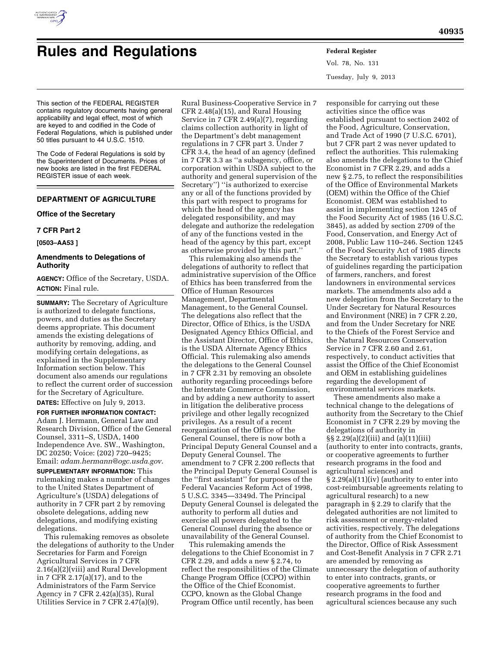

# **Rules and Regulations Federal Register**

Vol. 78, No. 131 Tuesday, July 9, 2013

This section of the FEDERAL REGISTER contains regulatory documents having general applicability and legal effect, most of which are keyed to and codified in the Code of Federal Regulations, which is published under 50 titles pursuant to 44 U.S.C. 1510.

The Code of Federal Regulations is sold by the Superintendent of Documents. Prices of new books are listed in the first FEDERAL REGISTER issue of each week.

# **DEPARTMENT OF AGRICULTURE**

## **Office of the Secretary**

#### **7 CFR Part 2**

**[0503–AA53 ]** 

## **Amendments to Delegations of Authority**

**AGENCY:** Office of the Secretary, USDA. **ACTION:** Final rule.

**SUMMARY:** The Secretary of Agriculture is authorized to delegate functions, powers, and duties as the Secretary deems appropriate. This document amends the existing delegations of authority by removing, adding, and modifying certain delegations, as explained in the Supplementary Information section below. This document also amends our regulations to reflect the current order of succession for the Secretary of Agriculture.

**DATES:** Effective on July 9, 2013.

**FOR FURTHER INFORMATION CONTACT:**  Adam J. Hermann, General Law and Research Division, Office of the General Counsel, 3311–S, USDA, 1400 Independence Ave. SW., Washington, DC 20250; Voice: (202) 720–9425; Email: *[adam.hermann@ogc.usda.gov](mailto:adam.hermann@ogc.usda.gov)*.

**SUPPLEMENTARY INFORMATION:** This rulemaking makes a number of changes to the United States Department of Agriculture's (USDA) delegations of authority in 7 CFR part 2 by removing obsolete delegations, adding new delegations, and modifying existing delegations.

This rulemaking removes as obsolete the delegations of authority to the Under Secretaries for Farm and Foreign Agricultural Services in 7 CFR 2.16(a)(2)(viii) and Rural Development in 7 CFR 2.17(a)(17), and to the Administrators of the Farm Service Agency in 7 CFR 2.42(a)(35), Rural Utilities Service in 7 CFR 2.47(a)(9),

Rural Business-Cooperative Service in 7 CFR 2.48(a)(15), and Rural Housing Service in 7 CFR 2.49(a)(7), regarding claims collection authority in light of the Department's debt management regulations in 7 CFR part 3. Under 7 CFR 3.4, the head of an agency (defined in 7 CFR 3.3 as ''a subagency, office, or corporation within USDA subject to the authority and general supervision of the Secretary'') ''is authorized to exercise any or all of the functions provided by this part with respect to programs for which the head of the agency has delegated responsibility, and may delegate and authorize the redelegation of any of the functions vested in the head of the agency by this part, except as otherwise provided by this part.''

This rulemaking also amends the delegations of authority to reflect that administrative supervision of the Office of Ethics has been transferred from the Office of Human Resources Management, Departmental Management, to the General Counsel. The delegations also reflect that the Director, Office of Ethics, is the USDA Designated Agency Ethics Official, and the Assistant Director, Office of Ethics, is the USDA Alternate Agency Ethics Official. This rulemaking also amends the delegations to the General Counsel in 7 CFR 2.31 by removing an obsolete authority regarding proceedings before the Interstate Commerce Commission, and by adding a new authority to assert in litigation the deliberative process privilege and other legally recognized privileges. As a result of a recent reorganization of the Office of the General Counsel, there is now both a Principal Deputy General Counsel and a Deputy General Counsel. The amendment to 7 CFR 2.200 reflects that the Principal Deputy General Counsel is the ''first assistant'' for purposes of the Federal Vacancies Reform Act of 1998, 5 U.S.C. 3345—3349d. The Principal Deputy General Counsel is delegated the authority to perform all duties and exercise all powers delegated to the General Counsel during the absence or unavailability of the General Counsel.

This rulemaking amends the delegations to the Chief Economist in 7 CFR 2.29, and adds a new § 2.74, to reflect the responsibilities of the Climate Change Program Office (CCPO) within the Office of the Chief Economist. CCPO, known as the Global Change Program Office until recently, has been

responsible for carrying out these activities since the office was established pursuant to section 2402 of the Food, Agriculture, Conservation, and Trade Act of 1990 (7 U.S.C. 6701), but 7 CFR part 2 was never updated to reflect the authorities. This rulemaking also amends the delegations to the Chief Economist in 7 CFR 2.29, and adds a new § 2.75, to reflect the responsibilities of the Office of Environmental Markets (OEM) within the Office of the Chief Economist. OEM was established to assist in implementing section 1245 of the Food Security Act of 1985 (16 U.S.C. 3845), as added by section 2709 of the Food, Conservation, and Energy Act of 2008, Public Law 110–246. Section 1245 of the Food Security Act of 1985 directs the Secretary to establish various types of guidelines regarding the participation of farmers, ranchers, and forest landowners in environmental services markets. The amendments also add a new delegation from the Secretary to the Under Secretary for Natural Resources and Environment (NRE) in 7 CFR 2.20, and from the Under Secretary for NRE to the Chiefs of the Forest Service and the Natural Resources Conservation Service in 7 CFR 2.60 and 2.61, respectively, to conduct activities that assist the Office of the Chief Economist and OEM in establishing guidelines regarding the development of environmental services markets.

These amendments also make a technical change to the delegations of authority from the Secretary to the Chief Economist in 7 CFR 2.29 by moving the delegations of authority in §§ 2.29(a)(2)(iii) and (a)(11)(iii) (authority to enter into contracts, grants, or cooperative agreements to further research programs in the food and agricultural sciences) and § 2.29(a)(11)(iv) (authority to enter into cost-reimbursable agreements relating to agricultural research) to a new paragraph in § 2.29 to clarify that the delegated authorities are not limited to risk assessment or energy-related activities, respectively. The delegations of authority from the Chief Economist to the Director, Office of Risk Assessment and Cost-Benefit Analysis in 7 CFR 2.71 are amended by removing as unnecessary the delegation of authority to enter into contracts, grants, or cooperative agreements to further research programs in the food and agricultural sciences because any such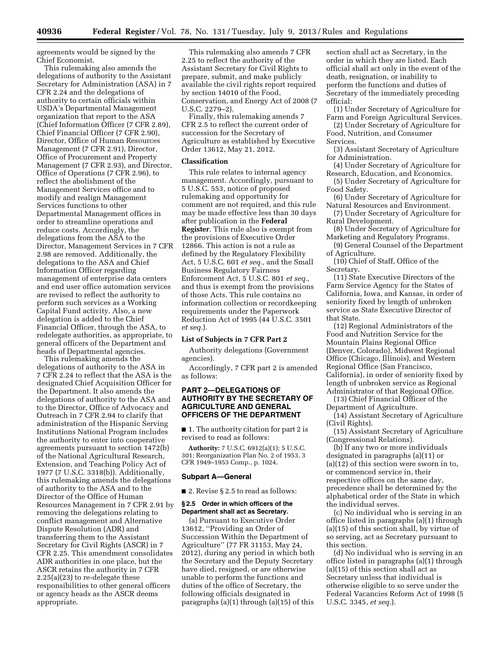agreements would be signed by the Chief Economist.

This rulemaking also amends the delegations of authority to the Assistant Secretary for Administration (ASA) in 7 CFR 2.24 and the delegations of authority to certain officials within USDA's Departmental Management organization that report to the ASA (Chief Information Officer (7 CFR 2.89), Chief Financial Officer (7 CFR 2.90), Director, Office of Human Resources Management (7 CFR 2.91), Director, Office of Procurement and Property Management (7 CFR 2.93), and Director, Office of Operations (7 CFR 2.96), to reflect the abolishment of the Management Services office and to modify and realign Management Services functions to other Departmental Management offices in order to streamline operations and reduce costs. Accordingly, the delegations from the ASA to the Director, Management Services in 7 CFR 2.98 are removed. Additionally, the delegations to the ASA and Chief Information Officer regarding management of enterprise data centers and end user office automation services are revised to reflect the authority to perform such services as a Working Capital Fund activity. Also, a new delegation is added to the Chief Financial Officer, through the ASA, to redelegate authorities, as appropriate, to general officers of the Department and heads of Departmental agencies.

This rulemaking amends the delegations of authority to the ASA in 7 CFR 2.24 to reflect that the ASA is the designated Chief Acquisition Officer for the Department. It also amends the delegations of authority to the ASA and to the Director, Office of Advocacy and Outreach in 7 CFR 2.94 to clarify that administration of the Hispanic Serving Institutions National Program includes the authority to enter into cooperative agreements pursuant to section 1472(b) of the National Agricultural Research, Extension, and Teaching Policy Act of 1977 (7 U.S.C. 3318(b)). Additionally, this rulemaking amends the delegations of authority to the ASA and to the Director of the Office of Human Resources Management in 7 CFR 2.91 by removing the delegations relating to conflict management and Alternative Dispute Resolution (ADR) and transferring them to the Assistant Secretary for Civil Rights (ASCR) in 7 CFR 2.25. This amendment consolidates ADR authorities in one place, but the ASCR retains the authority in 7 CFR 2.25(a)(23) to re-delegate these responsibilities to other general officers or agency heads as the ASCR deems appropriate.

This rulemaking also amends 7 CFR 2.25 to reflect the authority of the Assistant Secretary for Civil Rights to prepare, submit, and make publicly available the civil rights report required by section 14010 of the Food, Conservation, and Energy Act of 2008 (7 U.S.C. 2279–2).

Finally, this rulemaking amends 7 CFR 2.5 to reflect the current order of succession for the Secretary of Agriculture as established by Executive Order 13612, May 21, 2012.

## **Classification**

This rule relates to internal agency management. Accordingly, pursuant to 5 U.S.C. 553, notice of proposed rulemaking and opportunity for comment are not required, and this rule may be made effective less than 30 days after publication in the **Federal Register**. This rule also is exempt from the provisions of Executive Order 12866. This action is not a rule as defined by the Regulatory Flexibility Act, 5 U.S.C. 601 *et seq.,* and the Small Business Regulatory Fairness Enforcement Act, 5 U.S.C. 801 *et seq.,*  and thus is exempt from the provisions of those Acts. This rule contains no information collection or recordkeeping requirements under the Paperwork Reduction Act of 1995 (44 U.S.C. 3501 *et seq.*).

## **List of Subjects in 7 CFR Part 2**

Authority delegations (Government agencies).

Accordingly, 7 CFR part 2 is amended as follows:

## **PART 2—DELEGATIONS OF AUTHORITY BY THE SECRETARY OF AGRICULTURE AND GENERAL OFFICERS OF THE DEPARTMENT**

■ 1. The authority citation for part 2 is revised to read as follows:

**Authority:** 7 U.S.C. 6912(a)(1); 5 U.S.C. 301; Reorganization Plan No. 2 of 1953, 3 CFR 1949–1953 Comp., p. 1024.

#### **Subpart A—General**

■ 2. Revise § 2.5 to read as follows:

#### **§ 2.5 Order in which officers of the Department shall act as Secretary.**

(a) Pursuant to Executive Order 13612, ''Providing an Order of Succession Within the Department of Agriculture'' (77 FR 31153, May 24, 2012), during any period in which both the Secretary and the Deputy Secretary have died, resigned, or are otherwise unable to perform the functions and duties of the office of Secretary, the following officials designated in paragraphs (a)(1) through (a)(15) of this

section shall act as Secretary, in the order in which they are listed. Each official shall act only in the event of the death, resignation, or inability to perform the functions and duties of Secretary of the immediately preceding official:

(1) Under Secretary of Agriculture for Farm and Foreign Agricultural Services.

(2) Under Secretary of Agriculture for Food, Nutrition, and Consumer Services.

(3) Assistant Secretary of Agriculture for Administration.

(4) Under Secretary of Agriculture for Research, Education, and Economics.

(5) Under Secretary of Agriculture for Food Safety.

(6) Under Secretary of Agriculture for Natural Resources and Environment.

(7) Under Secretary of Agriculture for Rural Development.

(8) Under Secretary of Agriculture for Marketing and Regulatory Programs.

(9) General Counsel of the Department of Agriculture.

(10) Chief of Staff, Office of the Secretary.

(11) State Executive Directors of the Farm Service Agency for the States of California, Iowa, and Kansas, in order of seniority fixed by length of unbroken service as State Executive Director of that State.

(12) Regional Administrators of the Food and Nutrition Service for the Mountain Plains Regional Office (Denver, Colorado), Midwest Regional Office (Chicago, Illinois), and Western Regional Office (San Francisco, California), in order of seniority fixed by length of unbroken service as Regional Administrator of that Regional Office.

(13) Chief Financial Officer of the Department of Agriculture.

(14) Assistant Secretary of Agriculture (Civil Rights).

(15) Assistant Secretary of Agriculture (Congressional Relations).

(b) If any two or more individuals designated in paragraphs (a)(11) or (a)(12) of this section were sworn in to, or commenced service in, their respective offices on the same day, precedence shall be determined by the alphabetical order of the State in which the individual serves.

(c) No individual who is serving in an office listed in paragraphs (a)(1) through (a)(15) of this section shall, by virtue of so serving, act as Secretary pursuant to this section.

(d) No individual who is serving in an office listed in paragraphs (a)(1) through (a)(15) of this section shall act as Secretary unless that individual is otherwise eligible to so serve under the Federal Vacancies Reform Act of 1998 (5 U.S.C. 3345, *et seq.*).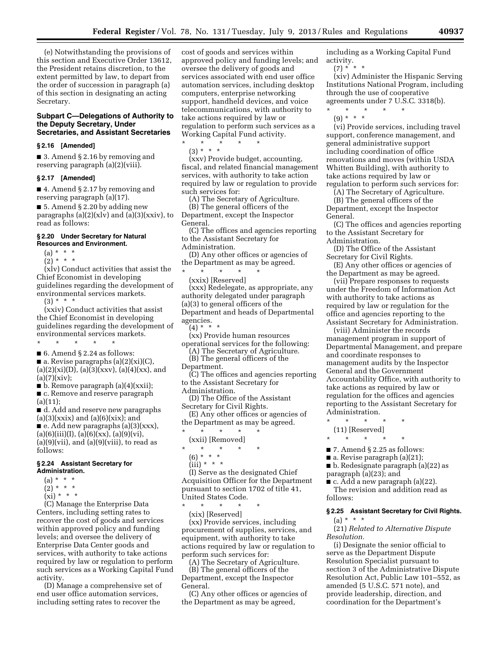(e) Notwithstanding the provisions of this section and Executive Order 13612, the President retains discretion, to the extent permitted by law, to depart from the order of succession in paragraph (a) of this section in designating an acting Secretary.

## **Subpart C—Delegations of Authority to the Deputy Secretary, Under Secretaries, and Assistant Secretaries**

#### **§ 2.16 [Amended]**

■ 3. Amend § 2.16 by removing and reserving paragraph (a)(2)(viii).

#### **§ 2.17 [Amended]**

■ 4. Amend § 2.17 by removing and reserving paragraph (a)(17).

■ 5. Amend § 2.20 by adding new paragraphs  $(a)(2)(x)v$  and  $(a)(3)(xxiv)$ , to read as follows:

## **§ 2.20 Under Secretary for Natural Resources and Environment.**

- (a) \* \* \*
- $(2) * * * *$

(xlv) Conduct activities that assist the Chief Economist in developing guidelines regarding the development of environmental services markets.

 $(3) * * * *$ 

(xxiv) Conduct activities that assist the Chief Economist in developing guidelines regarding the development of environmental services markets.

\* \* \* \* \* ■ 6. Amend § 2.24 as follows:

 $\blacksquare$  a. Revise paragraphs (a)(2)(xi)(C),  $(a)(2)(xi)(D), (a)(3)(xxx), (a)(4)(xx), and$  $(a)(7)(xiv);$ 

■ b. Remove paragraph (a)(4)(xxii); ■ c. Remove and reserve paragraph  $(a)(11);$ 

■ d. Add and reserve new paragraphs  $(a)(3)(xxix)$  and  $(a)(6)(xix)$ ; and

■ e. Add new paragraphs (a)(3)(xxx),  $(a)(6)(iii)(I), (a)(6)(xx), (a)(9)(vi),$  $(a)(9)(vii)$ , and  $(a)(9)(viii)$ , to read as follows:

#### **§ 2.24 Assistant Secretary for Administration.**

 $(a) * * * *$ 

- $(2) * * * *$
- $(xi) * * * *$
- 

(C) Manage the Enterprise Data Centers, including setting rates to recover the cost of goods and services within approved policy and funding levels; and oversee the delivery of Enterprise Data Center goods and services, with authority to take actions required by law or regulation to perform such services as a Working Capital Fund activity.

(D) Manage a comprehensive set of end user office automation services, including setting rates to recover the

cost of goods and services within approved policy and funding levels; and oversee the delivery of goods and services associated with end user office automation services, including desktop computers, enterprise networking support, handheld devices, and voice telecommunications, with authority to take actions required by law or regulation to perform such services as a Working Capital Fund activity.

\* \* \* \* \* (3) \* \* \*

(xxv) Provide budget, accounting, fiscal, and related financial management services, with authority to take action required by law or regulation to provide such services for:

(A) The Secretary of Agriculture.

(B) The general officers of the Department, except the Inspector General.

(C) The offices and agencies reporting to the Assistant Secretary for Administration.

(D) Any other offices or agencies of the Department as may be agreed.

\* \* \* \* \*

(xxix) [Reserved] (xxx) Redelegate, as appropriate, any authority delegated under paragraph (a)(3) to general officers of the Department and heads of Departmental agencies.

 $(4) * * * *$ 

(xx) Provide human resources operational services for the following:

(A) The Secretary of Agriculture. (B) The general officers of the

- Department.
- (C) The offices and agencies reporting to the Assistant Secretary for

Administration.

(D) The Office of the Assistant Secretary for Civil Rights.

(E) Any other offices or agencies of the Department as may be agreed.

\* \* \* \* \*

(xxii) [Removed]

- \* \* \* \* \*
	- (6) \* \* \*

(I) Serve as the designated Chief Acquisition Officer for the Department pursuant to section 1702 of title 41, United States Code.

\* \* \* \* \* (xix) [Reserved]

(xx) Provide services, including procurement of supplies, services, and equipment, with authority to take actions required by law or regulation to perform such services for:

(A) The Secretary of Agriculture. (B) The general officers of the Department, except the Inspector General.

(C) Any other offices or agencies of the Department as may be agreed,

including as a Working Capital Fund activity.

 $(7) * * * *$ 

(xiv) Administer the Hispanic Serving Institutions National Program, including through the use of cooperative agreements under 7 U.S.C. 3318(b).

\* \* \* \* \*

 $(9) * * * *$ 

(vi) Provide services, including travel support, conference management, and general administrative support including coordination of office renovations and moves (within USDA Whitten Building), with authority to take actions required by law or regulation to perform such services for:

(A) The Secretary of Agriculture.

(B) The general officers of the Department, except the Inspector General.

(C) The offices and agencies reporting to the Assistant Secretary for Administration.

(D) The Office of the Assistant

Secretary for Civil Rights. (E) Any other offices or agencies of

the Department as may be agreed.

(vii) Prepare responses to requests under the Freedom of Information Act with authority to take actions as required by law or regulation for the office and agencies reporting to the Assistant Secretary for Administration.

(viii) Administer the records management program in support of Departmental Management, and prepare and coordinate responses to management audits by the Inspector General and the Government Accountability Office, with authority to take actions as required by law or regulation for the offices and agencies reporting to the Assistant Secretary for Administration.

- \* \* \* \* \* (11) [Reserved]
- $\star$   $\star$   $\star$

■ 7. Amend § 2.25 as follows:

■ a. Revise paragraph (a)(21);

■ b. Redesignate paragraph (a)(22) as

paragraph (a)(23); and

 $\blacksquare$  c. Add a new paragraph (a)(22).

The revision and addition read as follows:

## **§ 2.25 Assistant Secretary for Civil Rights.**   $(a) * * * *$

(21) *Related to Alternative Dispute Resolution.* 

(i) Designate the senior official to serve as the Department Dispute Resolution Specialist pursuant to section 3 of the Administrative Dispute Resolution Act, Public Law 101–552, as amended (5 U.S.C. 571 note), and provide leadership, direction, and coordination for the Department's

 $(iii) * * * *$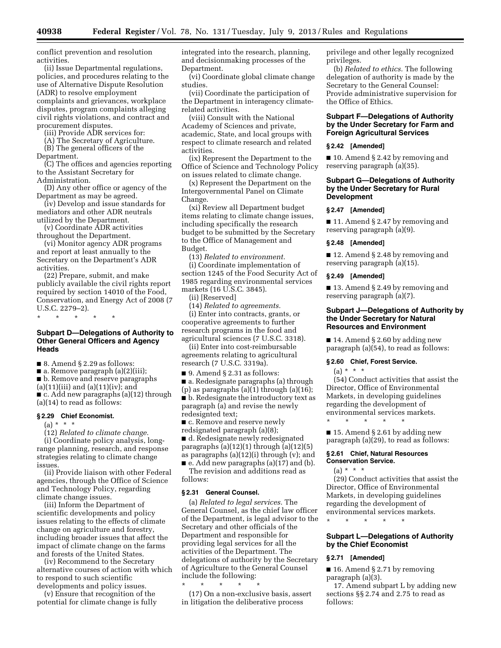conflict prevention and resolution activities.

(ii) Issue Departmental regulations, policies, and procedures relating to the use of Alternative Dispute Resolution (ADR) to resolve employment complaints and grievances, workplace disputes, program complaints alleging civil rights violations, and contract and procurement disputes.

(iii) Provide ADR services for:

(A) The Secretary of Agriculture. (B) The general officers of the

Department.

(C) The offices and agencies reporting to the Assistant Secretary for Administration.

(D) Any other office or agency of the Department as may be agreed.

(iv) Develop and issue standards for mediators and other ADR neutrals utilized by the Department.

(v) Coordinate ADR activities throughout the Department.

(vi) Monitor agency ADR programs and report at least annually to the Secretary on the Department's ADR activities.

(22) Prepare, submit, and make publicly available the civil rights report required by section 14010 of the Food, Conservation, and Energy Act of 2008 (7 U.S.C. 2279–2).

\* \* \* \* \*

## **Subpart D—Delegations of Authority to Other General Officers and Agency Heads**

■ 8. Amend § 2.29 as follows:

 $\blacksquare$  a. Remove paragraph (a)(2)(iii);

■ b. Remove and reserve paragraphs

 $(a)(11)(iii)$  and  $(a)(11)(iv)$ ; and ■ c. Add new paragraphs (a)(12) through (a)(14) to read as follows:

#### **§ 2.29 Chief Economist.**

 $(a) * * * *$ 

(12) *Related to climate change.*  (i) Coordinate policy analysis, longrange planning, research, and response strategies relating to climate change issues.

(ii) Provide liaison with other Federal agencies, through the Office of Science and Technology Policy, regarding climate change issues.

(iii) Inform the Department of scientific developments and policy issues relating to the effects of climate change on agriculture and forestry, including broader issues that affect the impact of climate change on the farms and forests of the United States.

(iv) Recommend to the Secretary alternative courses of action with which to respond to such scientific developments and policy issues.

(v) Ensure that recognition of the potential for climate change is fully integrated into the research, planning, and decisionmaking processes of the Department.

(vi) Coordinate global climate change studies.

(vii) Coordinate the participation of the Department in interagency climaterelated activities.

(viii) Consult with the National Academy of Sciences and private, academic, State, and local groups with respect to climate research and related activities.

(ix) Represent the Department to the Office of Science and Technology Policy on issues related to climate change.

(x) Represent the Department on the Intergovernmental Panel on Climate Change.

(xi) Review all Department budget items relating to climate change issues, including specifically the research budget to be submitted by the Secretary to the Office of Management and Budget.

(13) *Related to environment.*  (i) Coordinate implementation of section 1245 of the Food Security Act of 1985 regarding environmental services markets (16 U.S.C. 3845).

(ii) [Reserved]

(14) *Related to agreements.* 

(i) Enter into contracts, grants, or cooperative agreements to further research programs in the food and agricultural sciences (7 U.S.C. 3318).

(ii) Enter into cost-reimbursable agreements relating to agricultural research (7 U.S.C. 3319a).

■ 9. Amend § 2.31 as follows:

■ a. Redesignate paragraphs (a) through

(p) as paragraphs (a)(1) through (a)(16); ■ b. Redesignate the introductory text as paragraph (a) and revise the newly redesignted text;

■ c. Remove and reserve newly

redsignated paragraph (a)(8); ■ d. Redesignate newly redesignated

paragraphs  $(a)(12)(1)$  through  $(a)(12)(5)$ as paragraphs (a)(12)(i) through (v); and

■ e. Add new paragraphs (a)(17) and (b). The revision and additions read as follows:

## **§ 2.31 General Counsel.**

(a) *Related to legal services.* The General Counsel, as the chief law officer of the Department, is legal advisor to the Secretary and other officials of the Department and responsible for providing legal services for all the activities of the Department. The delegations of authority by the Secretary of Agriculture to the General Counsel include the following:

\* \* \* \* \*

(17) On a non-exclusive basis, assert in litigation the deliberative process

privilege and other legally recognized privileges.

(b) *Related to ethics.* The following delegation of authority is made by the Secretary to the General Counsel: Provide administrative supervision for the Office of Ethics.

## **Subpart F—Delegations of Authority by the Under Secretary for Farm and Foreign Agricultural Services**

## **§ 2.42 [Amended]**

■ 10. Amend § 2.42 by removing and reserving paragraph (a)(35).

## **Subpart G—Delegations of Authority by the Under Secretary for Rural Development**

## **§ 2.47 [Amended]**

■ 11. Amend § 2.47 by removing and reserving paragraph (a)(9).

#### **§ 2.48 [Amended]**

■ 12. Amend § 2.48 by removing and reserving paragraph (a)(15).

#### **§ 2.49 [Amended]**

■ 13. Amend § 2.49 by removing and reserving paragraph (a)(7).

## **Subpart J—Delegations of Authority by the Under Secretary for Natural Resources and Environment**

■ 14. Amend § 2.60 by adding new paragraph (a)(54), to read as follows:

## **§ 2.60 Chief, Forest Service.**

 $(a) * * * *$ 

(54) Conduct activities that assist the Director, Office of Environmental Markets, in developing guidelines regarding the development of environmental services markets. \* \* \* \* \*

 $\blacksquare$  15. Amend § 2.61 by adding new paragraph (a)(29), to read as follows:

## **§ 2.61 Chief, Natural Resources Conservation Service.**

 $(a) * * * *$ 

(29) Conduct activities that assist the Director, Office of Environmental Markets, in developing guidelines regarding the development of environmental services markets. \* \* \* \* \*

# **Subpart L—Delegations of Authority by the Chief Economist**

# **§ 2.71 [Amended]**

■ 16. Amend § 2.71 by removing paragraph (a)(3).

17. Amend subpart L by adding new sections §§ 2.74 and 2.75 to read as follows: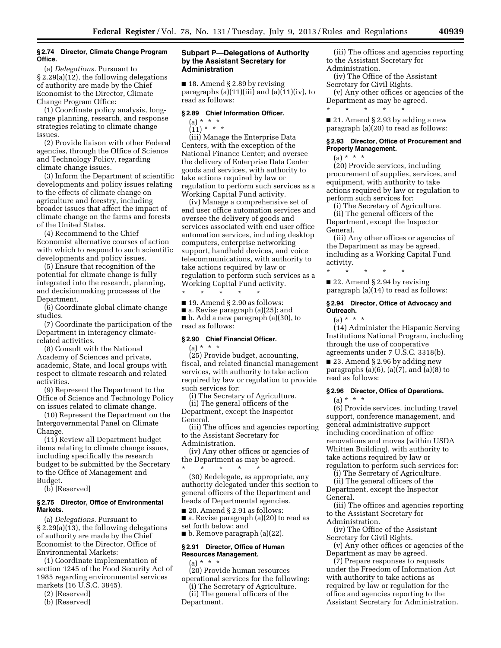#### **§ 2.74 Director, Climate Change Program Office.**

(a) *Delegations.* Pursuant to § 2.29(a)(12), the following delegations of authority are made by the Chief Economist to the Director, Climate Change Program Office:

(1) Coordinate policy analysis, longrange planning, research, and response strategies relating to climate change issues.

(2) Provide liaison with other Federal agencies, through the Office of Science and Technology Policy, regarding climate change issues.

(3) Inform the Department of scientific developments and policy issues relating to the effects of climate change on agriculture and forestry, including broader issues that affect the impact of climate change on the farms and forests of the United States.

(4) Recommend to the Chief Economist alternative courses of action with which to respond to such scientific developments and policy issues.

(5) Ensure that recognition of the potential for climate change is fully integrated into the research, planning, and decisionmaking processes of the Department.

(6) Coordinate global climate change studies.

(7) Coordinate the participation of the Department in interagency climaterelated activities.

(8) Consult with the National Academy of Sciences and private, academic, State, and local groups with respect to climate research and related activities.

(9) Represent the Department to the Office of Science and Technology Policy on issues related to climate change.

(10) Represent the Department on the Intergovernmental Panel on Climate Change.

(11) Review all Department budget items relating to climate change issues, including specifically the research budget to be submitted by the Secretary to the Office of Management and Budget.

(b) [Reserved]

#### **§ 2.75 Director, Office of Environmental Markets.**

(a) *Delegations.* Pursuant to § 2.29(a)(13), the following delegations of authority are made by the Chief Economist to the Director, Office of Environmental Markets:

(1) Coordinate implementation of section 1245 of the Food Security Act of 1985 regarding environmental services markets (16 U.S.C. 3845).

- (2) [Reserved]
- (b) [Reserved]

#### **Subpart P—Delegations of Authority by the Assistant Secretary for Administration**

■ 18. Amend § 2.89 by revising paragraphs (a)(11)(iii) and (a)(11)(iv), to read as follows:

## **§ 2.89 Chief Information Officer.**

# (a) \* \* \*

 $(11) * * * *$ 

(iii) Manage the Enterprise Data Centers, with the exception of the National Finance Center; and oversee the delivery of Enterprise Data Center goods and services, with authority to take actions required by law or regulation to perform such services as a Working Capital Fund activity.

(iv) Manage a comprehensive set of end user office automation services and oversee the delivery of goods and services associated with end user office automation services, including desktop computers, enterprise networking support, handheld devices, and voice telecommunications, with authority to take actions required by law or regulation to perform such services as a Working Capital Fund activity. \* \* \* \* \*

 $\blacksquare$  19. Amend § 2.90 as follows:

■ a. Revise paragraph (a)(25); and ■ b. Add a new paragraph (a)(30), to read as follows:

## **§ 2.90 Chief Financial Officer.**

 $(a) * * * *$ (25) Provide budget, accounting, fiscal, and related financial management services, with authority to take action required by law or regulation to provide such services for:

(i) The Secretary of Agriculture. (ii) The general officers of the

Department, except the Inspector General.

(iii) The offices and agencies reporting to the Assistant Secretary for Administration.

(iv) Any other offices or agencies of the Department as may be agreed. \* \* \* \* \*

(30) Redelegate, as appropriate, any authority delegated under this section to general officers of the Department and heads of Departmental agencies.

 $\blacksquare$  20. Amend § 2.91 as follows: ■ a. Revise paragraph (a)(20) to read as set forth below; and

■ b. Remove paragraph (a)(22).

## **§ 2.91 Director, Office of Human Resources Management.**

 $(a) * * * *$ (20) Provide human resources operational services for the following:

- (i) The Secretary of Agriculture. (ii) The general officers of the
- Department.

(iii) The offices and agencies reporting to the Assistant Secretary for Administration.

(iv) The Office of the Assistant Secretary for Civil Rights.

(v) Any other offices or agencies of the Department as may be agreed. \* \* \* \* \*

 $\blacksquare$  21. Amend § 2.93 by adding a new paragraph (a)(20) to read as follows:

## **§ 2.93 Director, Office of Procurement and Property Management.**

 $(a) * * * *$ 

(20) Provide services, including procurement of supplies, services, and equipment, with authority to take actions required by law or regulation to perform such services for:

(i) The Secretary of Agriculture. (ii) The general officers of the Department, except the Inspector General.

(iii) Any other offices or agencies of the Department as may be agreed, including as a Working Capital Fund activity.

■ 22. Amend § 2.94 by revising paragraph (a)(14) to read as follows:

\* \* \* \* \*

## **§ 2.94 Director, Office of Advocacy and Outreach.**

 $(a) * * * *$ 

(14) Administer the Hispanic Serving Institutions National Program, including through the use of cooperative agreements under 7 U.S.C. 3318(b).

■ 23. Amend § 2.96 by adding new paragraphs  $(a)(6)$ ,  $(a)(7)$ , and  $(a)(8)$  to read as follows:

## **§ 2.96 Director, Office of Operations.**

(a) \* \* \*

(6) Provide services, including travel support, conference management, and general administrative support including coordination of office renovations and moves (within USDA Whitten Building), with authority to take actions required by law or regulation to perform such services for:

(i) The Secretary of Agriculture.

(ii) The general officers of the Department, except the Inspector General.

(iii) The offices and agencies reporting to the Assistant Secretary for Administration.

(iv) The Office of the Assistant Secretary for Civil Rights.

(v) Any other offices or agencies of the Department as may be agreed.

(7) Prepare responses to requests under the Freedom of Information Act with authority to take actions as required by law or regulation for the office and agencies reporting to the Assistant Secretary for Administration.